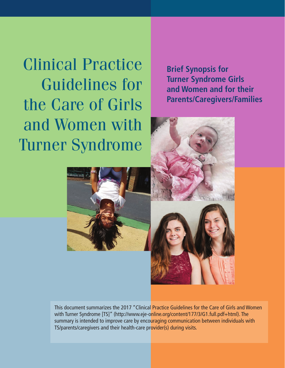Clinical Practice Guidelines for the Care of Girls and Women with Turner Syndrome

**Brief Synopsis for Turner Syndrome Girls and Women and for their Parents/Caregivers/Families**





This document summarizes the 2017 "Clinical Practice Guidelines for the Care of Girls and Women with Turner Syndrome [TS]" (http://www.eje-online.org/content/177/3/G1.full.pdf+html). The summary is intended to improve care by encouraging communication between individuals with TS/parents/caregivers and their health-care provider(s) during visits.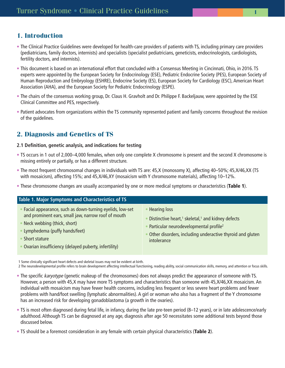# **1. Introduction**

- The Clinical Practice Guidelines were developed for health-care providers of patients with TS, including primary care providers (pediatricians, family doctors, internists) and specialists (specialist pediatricians, geneticists, endocrinologists, cardiologists, fertility doctors, and internists).
- This document is based on an international effort that concluded with a Consensus Meeting in Cincinnati, Ohio, in 2016. TS experts were appointed by the European Society for Endocrinology (ESE), Pediatric Endocrine Society (PES), European Society of Human Reproduction and Embryology (ESHRE), Endocrine Society (ES), European Society for Cardiology (ESC), American Heart Association (AHA), and the European Society for Pediatric Endocrinology (ESPE).
- The chairs of the consensus working group, Dr. Claus H. Gravholt and Dr. Philippe F. Backeljauw, were appointed by the ESE Clinical Committee and PES, respectively.
- Patient advocates from organizations within the TS community represented patient and family concerns throughout the revision of the guidelines.

# **2. Diagnosis and Genetics of TS**

#### **2.1 Definition, genetic analysis, and indications for testing**

- TS occurs in 1 out of 2,000–4,000 females, when only one complete X chromosome is present and the second X chromosome is missing entirely or partially, or has a different structure.
- The most frequent chromosomal changes in individuals with TS are: 45,X (monosomy X), affecting 40–50%; 45,X/46,XX (TS with mosaicism), affecting 15%; and 45,X/46,XY (mosaicism with Y chromosome materials), affecting 10–12%.
- These chromosome changes are usually accompanied by one or more medical symptoms or characteristics (**Table 1**).

| Table 1. Major Symptoms and Characteristics of TS                                                                                                                                                                                                        |                                                                                                                                                                                                                                    |
|----------------------------------------------------------------------------------------------------------------------------------------------------------------------------------------------------------------------------------------------------------|------------------------------------------------------------------------------------------------------------------------------------------------------------------------------------------------------------------------------------|
| Facial appearance, such as down-turning eyelids, low-set<br>and prominent ears, small jaw, narrow roof of mouth<br>Neck webbing (thick, short)<br>Lymphedema (puffy hands/feet)<br>Short stature<br>Ovarian insufficiency (delayed puberty, infertility) | <b>Hearing loss</b><br>Distinctive heart, <sup>1</sup> skeletal, <sup>1</sup> and kidney defects<br>Particular neurodevelopmental profile <sup>2</sup><br>Other disorders, including underactive thyroid and gluten<br>intolerance |

1 Some clinically significant heart defects and skeletal issues may not be evident at birth.

2 The neurodevelopmental profile refers to brain development affecting intellectual functioning, reading ability, social communication skills, memory, and attention or focus skills.

- The specific karyotype (genetic makeup of the chromosomes) does not always predict the appearance of someone with TS. However, a person with 45,X may have more TS symptoms and characteristics than someone with 45,X/46,XX mosaicism. An individual with mosaicism may have fewer health concerns, including less frequent or less severe heart problems and fewer problems with hand/foot swelling (lymphatic abnormalities). A girl or woman who also has a fragment of the Y chromosome has an increased risk for developing gonadoblastoma (a growth in the ovaries).
- TS is most often diagnosed during fetal life, in infancy, during the late pre-teen period (8–12 years), or in late adolescence/early adulthood. Although TS can be diagnosed at any age, diagnosis after age 50 necessitates some additional tests beyond those discussed below.
- TS should be a foremost consideration in any female with certain physical characteristics (**Table 2**).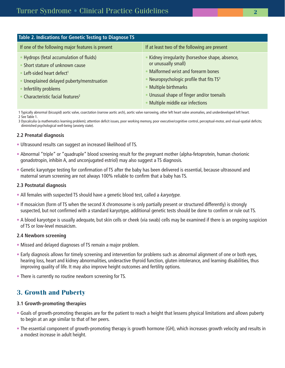| Table 2. Indications for Genetic Testing to Diagnose TS                                                                                                                                                                                   |                                                                                                                                                                                                                                                                        |  |  |  |
|-------------------------------------------------------------------------------------------------------------------------------------------------------------------------------------------------------------------------------------------|------------------------------------------------------------------------------------------------------------------------------------------------------------------------------------------------------------------------------------------------------------------------|--|--|--|
| If one of the following major features is present                                                                                                                                                                                         | If at least two of the following are present                                                                                                                                                                                                                           |  |  |  |
| • Hydrops (fetal accumulation of fluids)<br>Short stature of unknown cause<br>Left-sided heart defect <sup>1</sup><br>• Unexplained delayed puberty/menstruation<br>Infertility problems<br>• Characteristic facial features <sup>2</sup> | • Kidney irregularity (horseshoe shape, absence,<br>or unusually small)<br>• Malformed wrist and forearm bones<br>• Neuropsychologic profile that fits $TS3$<br>• Multiple birthmarks<br>• Unusual shape of finger and/or toenails<br>• Multiple middle ear infections |  |  |  |

1 Typically abnormal (bicuspid) aortic valve, coarctation (narrow aortic arch), aortic valve narrowing, other left heart valve anomalies, and underdeveloped left heart. 2 See Table 1.

3 Dyscalculia (a mathematics learning problem); attention deficit issues, poor working memory, poor executive/cognitive control, perceptual-motor, and visual-spatial deficits; diminished psychological well-being (anxiety state).

## **2.2 Prenatal diagnosis**

- Ultrasound results can suggest an increased likelihood of TS.
- Abnormal "triple" or "quadruple" blood screening result for the pregnant mother (alpha-fetoprotein, human chorionic gonadotropin, inhibin A, and unconjugated estriol) may also suggest a TS diagnosis.
- Genetic karyotype testing for confirmation of TS after the baby has been delivered is essential, because ultrasound and maternal serum screening are not always 100% reliable to confirm that a baby has TS.

### **2.3 Postnatal diagnosis**

- All females with suspected TS should have a genetic blood test, called a karyotype.
- If mosaicism (form of TS when the second X chromosome is only partially present or structured differently) is strongly suspected, but not confirmed with a standard karyotype, additional genetic tests should be done to confirm or rule out TS.
- A blood karyotype is usually adequate, but skin cells or cheek (via swab) cells may be examined if there is an ongoing suspicion of TS or low-level mosaicism.

### **2.4 Newborn screening**

- Missed and delayed diagnoses of TS remain a major problem.
- Early diagnosis allows for timely screening and intervention for problems such as abnormal alignment of one or both eyes, hearing loss, heart and kidney abnormalities, underactive thyroid function, gluten intolerance, and learning disabilities, thus improving quality of life. It may also improve height outcomes and fertility options.
- There is currently no routine newborn screening for TS.

# **3. Growth and Puberty**

### **3.1 Growth-promoting therapies**

- Goals of growth-promoting therapies are for the patient to reach a height that lessens physical limitations and allows puberty to begin at an age similar to that of her peers.
- The essential component of growth-promoting therapy is growth hormone (GH), which increases growth velocity and results in a modest increase in adult height.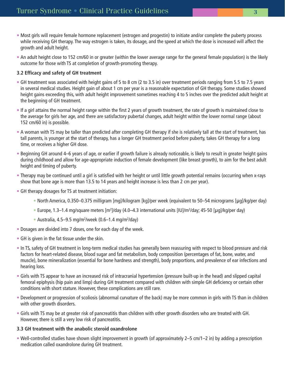- Most girls will require female hormone replacement (estrogen and progestin) to initiate and/or complete the puberty process while receiving GH therapy. The way estrogen is taken, its dosage, and the speed at which the dose is increased will affect the growth and adult height.
- An adult height close to 152 cm/60 in or greater (within the lower average range for the general female population) is the likely outcome for those with TS at completion of growth-promoting therapy.

## **3.2 Efficacy and safety of GH treatment**

- GH treatment was associated with height gains of 5 to 8 cm (2 to 3.5 in) over treatment periods ranging from 5.5 to 7.5 years in several medical studies. Height gain of about 1 cm per year is a reasonable expectation of GH therapy. Some studies showed height gains exceeding this, with adult height improvement sometimes reaching 4 to 5 inches over the predicted adult height at the beginning of GH treatment.
- If a girl attains the normal height range within the first 2 years of growth treatment, the rate of growth is maintained close to the average for girls her age, and there are satisfactory pubertal changes, adult height within the lower normal range (about 152 cm/60 in) is possible.
- A woman with TS may be taller than predicted after completing GH therapy if she is relatively tall at the start of treatment, has tall parents, is younger at the start of therapy, has a longer GH treatment period before puberty, takes GH therapy for a long time, or receives a higher GH dose.
- Beginning GH around 4–6 years of age, or earlier if growth failure is already noticeable, is likely to result in greater height gains during childhood and allow for age-appropriate induction of female development (like breast growth), to aim for the best adult height and timing of puberty.
- Therapy may be continued until a girl is satisfied with her height or until little growth potential remains (occurring when x-rays show that bone age is more than 13.5 to 14 years and height increase is less than 2 cm per year).
- GH therapy dosages for TS at treatment initiation:
	- North America, 0.350–0.375 milligram [mg]/kilogram [kg]/per week (equivalent to 50–54 micrograms [μg]/kg/per day)
	- Europe, 1.3–1.4 mg/square meters [m<sup>2</sup>]/day (4.0–4.3 international units [IU]/m<sup>2</sup>/day; 45-50 [µg]/kg/per day)
	- Australia, 4.5–9.5 mg/m<sup>2</sup>/week (0.6–1.4 mg/m<sup>2</sup>/day)
- Dosages are divided into 7 doses, one for each day of the week.
- GH is given in the fat tissue under the skin.
- In TS, safety of GH treatment in long-term medical studies has generally been reassuring with respect to blood pressure and risk factors for heart-related disease, blood sugar and fat metabolism, body composition (percentages of fat, bone, water, and muscle), bone mineralization (essential for bone hardness and strength), body proportions, and prevalence of ear infections and hearing loss.
- Girls with TS appear to have an increased risk of intracranial hypertension (pressure built-up in the head) and slipped capital femoral epiphysis (hip pain and limp) during GH treatment compared with children with simple GH deficiency or certain other conditions with short stature. However, these complications are still rare.
- Development or progression of scoliosis (abnormal curvature of the back) may be more common in girls with TS than in children with other growth disorders.
- Girls with TS may be at greater risk of pancreatitis than children with other growth disorders who are treated with GH. However, there is still a very low risk of pancreatitis.

### **3.3 GH treatment with the anabolic steroid oxandrolone**

• Well-controlled studies have shown slight improvement in growth (of approximately 2–5 cm/1–2 in) by adding a prescription medication called oxandrolone during GH treatment.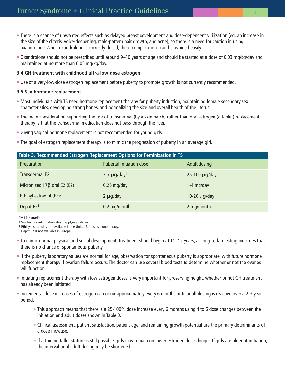- There is a chance of unwanted effects such as delayed breast development and dose-dependent virilization (eg, an increase in the size of the clitoris, voice-deepening, male-pattern hair growth, and acne), so there is a need for caution in using oxandrolone. When oxandrolone is correctly dosed, these complications can be avoided easily.
- Oxandrolone should not be prescribed until around 9–10 years of age and should be started at a dose of 0.03 mg/kg/day and maintained at no more than 0.05 mg/kg/day.

#### **3.4 GH treatment with childhood ultra-low-dose estrogen**

• Use of a very-low-dose estrogen replacement before puberty to promote growth is not currently recommended.

#### **3.5 Sex-hormone replacement**

- Most individuals with TS need hormone replacement therapy for puberty induction, maintaining female secondary sex characteristics, developing strong bones, and normalizing the size and overall health of the uterus.
- The main consideration supporting the use of transdermal (by a skin patch) rather than oral estrogen (a tablet) replacement therapy is that the transdermal medication does not pass through the liver.
- Giving vaginal hormone replacement is not recommended for young girls.
- The goal of estrogen replacement therapy is to mimic the progression of puberty in an average girl.

| Table 3. Recommended Estrogen Replacement Options for Feminization in TS |                                 |                     |  |  |  |
|--------------------------------------------------------------------------|---------------------------------|---------------------|--|--|--|
| Preparation                                                              | <b>Pubertal initiation dose</b> | <b>Adult dosing</b> |  |  |  |
| Transdermal E2                                                           | $3-7 \mu g/day1$                | $25-100$ µg/day     |  |  |  |
| Micronized $17\beta$ oral E2 (E2)                                        | $0.25$ mg/day                   | $1-4$ mg/day        |  |  |  |
| Ethinyl estradiol (EE) <sup>2</sup>                                      | $2 \mu g$ /day                  | 10-20 $\mu$ g/day   |  |  |  |
| Depot E2 <sup>3</sup>                                                    | 0.2 mg/month                    | 2 mg/month          |  |  |  |

E2: 17 estradiol

1 See text for information about applying patches.

2 Ethinyl estradiol is not available in the United States as monotherapy.

3 Depot E2 is not available in Europe.

- To mimic normal physical and social development, treatment should begin at 11–12 years, as long as lab testing indicates that there is no chance of spontaneous puberty.
- If the puberty laboratory values are normal for age, observation for spontaneous puberty is appropriate, with future hormone replacement therapy if ovarian failure occurs. The doctor can use several blood tests to determine whether or not the ovaries will function.
- Initiating replacement therapy with low estrogen doses is very important for preserving height, whether or not GH treatment has already been initiated.
- Incremental dose increases of estrogen can occur approximately every 6 months until adult dosing is reached over a 2-3 year period.
	- This approach means that there is a 25-100% dose increase every 6 months using 4 to 6 dose changes between the initiation and adult doses shown in Table 3.
	- Clinical assessment, patient satisfaction, patient age, and remaining growth potential are the primary determinants of a dose increase.
	- If attaining taller stature is still possible, girls may remain on lower estrogen doses longer. If girls are older at initiation, the interval until adult dosing may be shortened.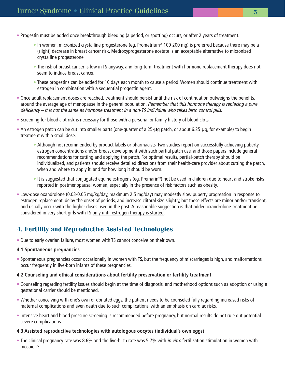- Progestin must be added once breakthrough bleeding (a period, or spotting) occurs, or after 2 years of treatment.
	- In women, micronized crystalline progesterone (eg, Prometrium® 100-200 mg) is preferred because there may be a (slight) decrease in breast cancer risk. Medroxyprogesterone acetate is an acceptable alternative to micronized crystalline progesterone.
	- The risk of breast cancer is low in TS anyway, and long-term treatment with hormone replacement therapy does not seem to induce breast cancer.
	- These progestins can be added for 10 days each month to cause a period. Women should continue treatment with estrogen in combination with a sequential progestin agent.
- Once adult replacement doses are reached, treatment should persist until the risk of continuation outweighs the benefits, around the average age of menopause in the general population. Remember that this hormone therapy is replacing a pure deficiency – it is not the same as hormone treatment in a non-TS individual who takes birth control pills.
- Screening for blood clot risk is necessary for those with a personal or family history of blood clots.
- An estrogen patch can be cut into smaller parts (one-quarter of a 25-μg patch, or about 6.25 μg, for example) to begin treatment with a small dose.
	- Although not recommended by product labels or pharmacists, two studies report on successfully achieving puberty estrogen concentrations and/or breast development with such partial patch use, and those papers include general recommendations for cutting and applying the patch. For optimal results, partial-patch therapy should be individualized, and patients should receive detailed directions from their health-care provider about cutting the patch, when and where to apply it, and for how long it should be worn.
	- It is suggested that conjugated equine estrogens (eg, Premarin®) not be used in children due to heart and stroke risks reported in postmenopausal women, especially in the presence of risk factors such as obesity.
- Low-dose oxandrolone (0.03-0.05 mg/kg/day, maximum 2.5 mg/day) may modestly slow puberty progression in response to estrogen replacement, delay the onset of periods, and increase clitoral size slightly, but these effects are minor and/or transient, and usually occur with the higher doses used in the past. A reasonable suggestion is that added oxandrolone treatment be considered in very short girls with TS only until estrogen therapy is started.

# **4. Fertility and Reproductive Assisted Technologies**

• Due to early ovarian failure, most women with TS cannot conceive on their own.

### **4.1 Spontaneous pregnancies**

• Spontaneous pregnancies occur occasionally in women with TS, but the frequency of miscarriages is high, and malformations occur frequently in live-born infants of these pregnancies.

### **4.2 Counseling and ethical considerations about fertility preservation or fertility treatment**

- Counseling regarding fertility issues should begin at the time of diagnosis, and motherhood options such as adoption or using a gestational carrier should be mentioned.
- Whether conceiving with one's own or donated eggs, the patient needs to be counseled fully regarding increased risks of maternal complications and even death due to such complications, with an emphasis on cardiac risks.
- Intensive heart and blood pressure screening is recommended before pregnancy, but normal results do not rule out potential severe complications.

### **4.3 Assisted reproductive technologies with autologous oocytes (individual's own eggs)**

• The clinical pregnancy rate was 8.6% and the live-birth rate was 5.7% with *in vitro* fertilization stimulation in women with mosaic TS.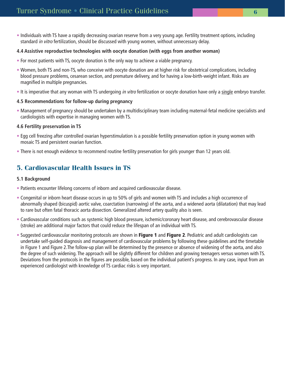• Individuals with TS have a rapidly decreasing ovarian reserve from a very young age. Fertility treatment options, including standard in vitro fertilization, should be discussed with young women, without unnecessary delay.

## **4.4 Assistive reproductive technologies with oocyte donation (with eggs from another woman)**

- For most patients with TS, oocyte donation is the only way to achieve a viable pregnancy.
- Women, both TS and non-TS, who conceive with oocyte donation are at higher risk for obstetrical complications, including blood pressure problems, cesarean section, and premature delivery, and for having a low-birth-weight infant. Risks are magnified in multiple pregnancies.
- It is imperative that any woman with TS undergoing in vitro fertilization or oocyte donation have only a single embryo transfer.

## **4.5 Recommendations for follow-up during pregnancy**

• Management of pregnancy should be undertaken by a multidisciplinary team including maternal-fetal medicine specialists and cardiologists with expertise in managing women with TS.

## **4.6 Fertility preservation in TS**

- Egg cell freezing after controlled ovarian hyperstimulation is a possible fertility preservation option in young women with mosaic TS and persistent ovarian function.
- There is not enough evidence to recommend routine fertility preservation for girls younger than 12 years old.

# **5. Cardiovascular Health Issues in TS**

## **5.1 Background**

- Patients encounter lifelong concerns of inborn and acquired cardiovascular disease.
- Congenital or inborn heart disease occurs in up to 50% of girls and women with TS and includes a high occurrence of abnormally shaped (bicuspid) aortic valve, coarctation (narrowing) of the aorta, and a widened aorta (dilatation) that may lead to rare but often fatal thoracic aorta dissection. Generalized altered artery quality also is seen.
- Cardiovascular conditions such as systemic high blood pressure, ischemic/coronary heart disease, and cerebrovascular disease (stroke) are additional major factors that could reduce the lifespan of an individual with TS.
- Suggested cardiovascular monitoring protocols are shown in **Figure 1** and **Figure 2**. Pediatric and adult cardiologists can undertake self-guided diagnosis and management of cardiovascular problems by following these guidelines and the timetable in Figure 1 and Figure 2.The follow-up plan will be determined by the presence or absence of widening of the aorta, and also the degree of such widening. The approach will be slightly different for children and growing teenagers versus women with TS. Deviations from the protocols in the figures are possible, based on the individual patient's progress. In any case, input from an experienced cardiologist with knowledge of TS cardiac risks is very important.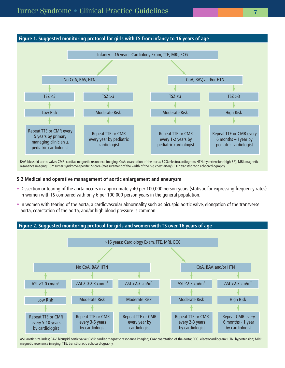

BAV: bicuspid aortic valve; CMR: cardiac magnetic resonance imaging; CoA: coarctation of the aorta; ECG: electrocardiogram; HTN: hypertension (high BP); MRI: magnetic resonance imaging; TSZ: Turner syndrome-specific Z-score (measurement of the width of the big chest artery); TTE: transthoracic echocardiography.

#### **5.2 Medical and operative management of aortic enlargement and aneurysm**

- Dissection or tearing of the aorta occurs in approximately 40 per 100,000 person-years (statistic for expressing frequency rates) in women with TS compared with only 6 per 100,000 person-years in the general population.
- In women with tearing of the aorta, a cardiovascular abnormality such as bicuspid aortic valve, elongation of the transverse aorta, coarctation of the aorta, and/or high blood pressure is common.



ASI: aortic size index; BAV: bicuspid aortic valve; CMR: cardiac magnetic resonance imaging; CoA: coarctation of the aorta; ECG: electrocardiogram; HTN: hypertension; MRI: magnetic resonance imaging; TTE: transthoracic echocardiography.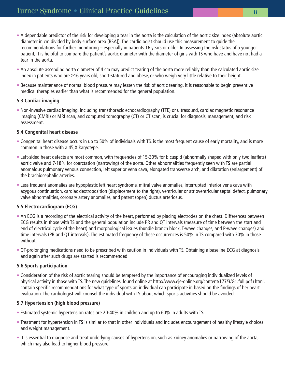- A dependable predictor of the risk for developing a tear in the aorta is the calculation of the aortic size index (absolute aortic diameter in cm divided by body surface area [BSA]). The cardiologist should use this measurement to guide the recommendations for further monitoring – especially in patients 16 years or older. In assessing the risk status of a younger patient, it is helpful to compare the patient's aortic diameter with the diameter of girls with TS who have and have not had a tear in the aorta.
- An absolute ascending aorta diameter of 4 cm may predict tearing of the aorta more reliably than the calculated aortic size index in patients who are ≥16 years old, short-statured and obese, or who weigh very little relative to their height.
- Because maintenance of normal blood pressure may lessen the risk of aortic tearing, it is reasonable to begin preventive medical therapies earlier than what is recommended for the general population.

# **5.3 Cardiac imaging**

• Non-invasive cardiac imaging, including transthoracic echocardiography (TTE) or ultrasound, cardiac magnetic resonance imaging (CMRI) or MRI scan, and computed tomography (CT) or CT scan, is crucial for diagnosis, management, and risk assessment.

# **5.4 Congenital heart disease**

- Congenital heart disease occurs in up to 50% of individuals with TS, is the most frequent cause of early mortality, and is more common in those with a 45,X karyotype.
- Left-sided heart defects are most common, with frequencies of 15-30% for bicuspid (abnormally shaped with only two leaflets) aortic valve and 7-18% for coarctation (narrowing) of the aorta. Other abnormalities frequently seen with TS are partial anomalous pulmonary venous connection, left superior vena cava, elongated transverse arch, and dilatation (enlargement) of the brachiocephalic arteries.
- Less frequent anomalies are hypoplastic left heart syndrome, mitral valve anomalies, interrupted inferior vena cava with azygous continuation, cardiac dextroposition (displacement to the right), ventricular or atrioventricular septal defect, pulmonary valve abnormalities, coronary artery anomalies, and patent (open) ductus arteriosus.

# **5.5 Electrocardiogram (ECG)**

- An ECG is a recording of the electrical activity of the heart, performed by placing electrodes on the chest. Differences between ECG results in those with TS and the general population include PR and QT intervals (measure of time between the start and end of electrical cycle of the heart) and morphological issues (bundle branch block, T-wave changes, and P-wave changes) and time intervals (PR and QT intervals). The estimated frequency of these occurrences is 50% in TS compared with 30% in those without.
- QT-prolonging medications need to be prescribed with caution in individuals with TS. Obtaining a baseline ECG at diagnosis and again after such drugs are started is recommended.

# **5.6 Sports participation**

• Consideration of the risk of aortic tearing should be tempered by the importance of encouraging individualized levels of physical activity in those with TS. The new guidelines, found online at http://www.eje-online.org/content/177/3/G1.full.pdf+html, contain specific recommendations for what type of sports an individual can participate in based on the findings of her heart evaluation. The cardiologist will counsel the individual with TS about which sports activities should be avoided.

# **5.7 Hypertension (high blood pressure)**

- Estimated systemic hypertension rates are 20-40% in children and up to 60% in adults with TS.
- Treatment for hypertension in TS is similar to that in other individuals and includes encouragement of healthy lifestyle choices and weight management.
- It is essential to diagnose and treat underlying causes of hypertension, such as kidney anomalies or narrowing of the aorta, which may also lead to higher blood pressure.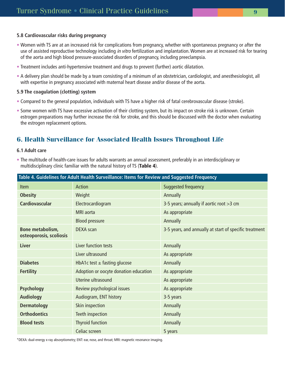### **5.8 Cardiovascular risks during pregnancy**

- Women with TS are at an increased risk for complications from pregnancy, whether with spontaneous pregnancy or after the use of assisted reproductive technology including in vitro fertilization and implantation. Women are at increased risk for tearing of the aorta and high blood pressure-associated disorders of pregnancy, including preeclampsia.
- Treatment includes anti-hypertensive treatment and drugs to prevent (further) aortic dilatation.
- A delivery plan should be made by a team consisting of a minimum of an obstetrician, cardiologist, and anesthesiologist, all with expertise in pregnancy associated with maternal heart disease and/or disease of the aorta.

## **5.9 The coagulation (clotting) system**

- Compared to the general population, individuals with TS have a higher risk of fatal cerebrovascular disease (stroke).
- Some women with TS have excessive activation of their clotting system, but its impact on stroke risk is unknown. Certain estrogen preparations may further increase the risk for stroke, and this should be discussed with the doctor when evaluating the estrogen replacement options.

# **6. Health Surveillance for Associated Health Issues Throughout Life**

#### **6.1 Adult care**

• The multitude of health-care issues for adults warrants an annual assessment, preferably in an interdisciplinary or multidisciplinary clinic familiar with the natural history of TS (**Table 4**).

| Table 4. Guidelines for Adult Health Surveillance: Items for Review and Suggested Frequency |                                       |                                                        |  |  |
|---------------------------------------------------------------------------------------------|---------------------------------------|--------------------------------------------------------|--|--|
| <b>Item</b>                                                                                 | <b>Action</b>                         | Suggested frequency                                    |  |  |
| <b>Obesity</b>                                                                              | Weight                                | Annually                                               |  |  |
| <b>Cardiovascular</b>                                                                       | Electrocardiogram                     | 3-5 years; annually if aortic root >3 cm               |  |  |
|                                                                                             | MRI aorta                             | As appropriate                                         |  |  |
|                                                                                             | <b>Blood pressure</b>                 | Annually                                               |  |  |
| Bone metabolism,<br>osteoporosis, scoliosis                                                 | <b>DEXA</b> scan                      | 3-5 years, and annually at start of specific treatment |  |  |
| <b>Liver</b>                                                                                | Liver function tests                  | Annually                                               |  |  |
|                                                                                             | Liver ultrasound                      | As appropriate                                         |  |  |
| <b>Diabetes</b>                                                                             | HbA1c test $\pm$ fasting glucose      | Annually                                               |  |  |
| <b>Fertility</b>                                                                            | Adoption or oocyte donation education | As appropriate                                         |  |  |
|                                                                                             | Uterine ultrasound                    | As appropriate                                         |  |  |
| <b>Psychology</b>                                                                           | Review psychological issues           | As appropriate                                         |  |  |
| <b>Audiology</b>                                                                            | Audiogram, ENT history                | 3-5 years                                              |  |  |
| <b>Dermatology</b>                                                                          | Skin inspection                       | Annually                                               |  |  |
| <b>Orthodontics</b>                                                                         | Teeth inspection                      | Annually                                               |  |  |
| <b>Blood tests</b>                                                                          | <b>Thyroid function</b>               | Annually                                               |  |  |
|                                                                                             | Celiac screen                         | 5 years                                                |  |  |

\*DEXA: dual-energy x-ray absorptiometry; ENT: ear, nose, and throat; MRI: magnetic resonance imaging.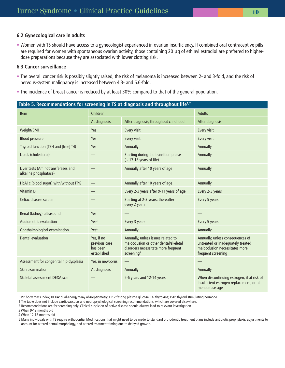#### **6.2 Gynecological care in adults**

• Women with TS should have access to a gynecologist experienced in ovarian insufficiency. If combined oral contraceptive pills are required for women with spontaneous ovarian activity, those containing 20 μg of ethinyl estradiol are preferred to higherdose preparations because they are associated with lower clotting risk.

### **6.3 Cancer surveillance**

- The overall cancer risk is possibly slightly raised, the risk of melanoma is increased between 2- and 3-fold, and the risk of nervous-system malignancy is increased between 4.3- and 6.6-fold.
- The incidence of breast cancer is reduced by at least 30% compared to that of the general population.

| Table 5. Recommendations for screening in TS at diagnosis and throughout life <sup>1,2</sup> |                                                        |                                                                                                                                              |                                                                                                                               |  |  |
|----------------------------------------------------------------------------------------------|--------------------------------------------------------|----------------------------------------------------------------------------------------------------------------------------------------------|-------------------------------------------------------------------------------------------------------------------------------|--|--|
| Item                                                                                         | Children                                               |                                                                                                                                              | <b>Adults</b>                                                                                                                 |  |  |
|                                                                                              | At diagnosis                                           | After diagnosis, throughout childhood                                                                                                        | After diagnosis                                                                                                               |  |  |
| Weight/BMI                                                                                   | Yes                                                    | Every visit                                                                                                                                  | Every visit                                                                                                                   |  |  |
| <b>Blood pressure</b>                                                                        | Yes                                                    | Every visit                                                                                                                                  | Every visit                                                                                                                   |  |  |
| Thyroid function (TSH and [free] T4)                                                         | Yes                                                    | Annually                                                                                                                                     | Annually                                                                                                                      |  |  |
| Lipids (cholesterol)                                                                         |                                                        | Starting during the transition phase<br>$(-17-18$ years of life)                                                                             | Annually                                                                                                                      |  |  |
| Liver tests (Aminotransferases and<br>alkaline phosphatase)                                  |                                                        | Annually after 10 years of age                                                                                                               | Annually                                                                                                                      |  |  |
| HbA1c (blood sugar) with/without FPG                                                         |                                                        | Annually after 10 years of age                                                                                                               | Annually                                                                                                                      |  |  |
| Vitamin D                                                                                    |                                                        | Every 2-3 years after 9-11 years of age                                                                                                      | Every 2-3 years                                                                                                               |  |  |
| Celiac disease screen                                                                        |                                                        | Starting at 2-3 years; thereafter<br>every 2 years                                                                                           | Every 5 years                                                                                                                 |  |  |
| Renal (kidney) ultrasound                                                                    | Yes                                                    |                                                                                                                                              |                                                                                                                               |  |  |
| Audiometric evaluation                                                                       | Yes <sup>3</sup>                                       | Every 3 years                                                                                                                                | Every 5 years                                                                                                                 |  |  |
| Ophthalmological examination                                                                 | Yes <sup>4</sup>                                       | Annually                                                                                                                                     | Annually                                                                                                                      |  |  |
| Dental evaluation                                                                            | Yes, if no<br>previous care<br>has been<br>established | Annually, unless issues related to<br>malocclusion or other dental/skeletal<br>disorders necessitate more frequent<br>screening <sup>5</sup> | Annually, unless consequences of<br>untreated or inadequately treated<br>malocclusion necessitates more<br>frequent screening |  |  |
| Assessment for congenital hip dysplasia                                                      | Yes, in newborns                                       |                                                                                                                                              |                                                                                                                               |  |  |
| Skin examination                                                                             | At diagnosis                                           | Annually                                                                                                                                     | Annually                                                                                                                      |  |  |
| Skeletal assessment DEXA scan                                                                |                                                        | 5-6 years and 12-14 years                                                                                                                    | When discontinuing estrogen, if at risk of<br>insufficient estrogen replacement, or at<br>menopause age                       |  |  |

BMI: body mass index; DEXA: dual-energy x-ray absorptiometry; FPG: fasting plasma glucose; T4: thyroxine; TSH: thyroid stimulating hormone.

1 The table does not include cardiovascular and neuropsychological screening recommendations, which are covered elsewhere.

2 Recommendations are for screening only. Clinical suspicion of active disease should always lead to relevant investigation.

3 When 9-12 months old

4 When 12-18 months old

5 Many individuals with TS require orthodontia. Modifications that might need to be made to standard orthodontic treatment plans include antibiotic prophylaxis, adjustments to account for altered dental morphology, and altered treatment timing due to delayed growth.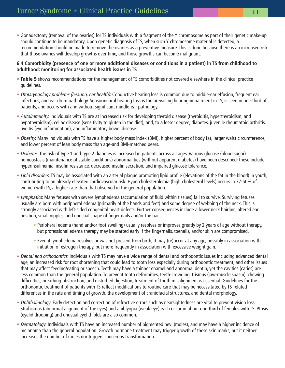• Gonadectomy (removal of the ovaries) for TS individuals with a fragment of the Y chromosome as part of their genetic make-up should continue to be mandatory. Upon genetic diagnosis of TS, when such Y chromosome material is detected, a recommendation should be made to remove the ovaries as a preventive measure. This is done because there is an increased risk that those ovaries will develop growths over time, and those growths can become malignant.

## **6.4 Comorbidity (presence of one or more additional diseases or conditions in a patient) in TS from childhood to adulthood: monitoring for associated health issues in TS**

- **Table 5** shows recommendations for the management of TS comorbidities not covered elsewhere in the clinical practice guidelines.
- Otolaryngology problems (hearing, ear health): Conductive hearing loss is common due to middle-ear effusion, frequent ear infections, and ear drum pathology. Sensorineural hearing loss is the prevailing hearing impairment in TS, is seen in one-third of patients, and occurs with and without significant middle-ear pathology.
- Autoimmunity: Individuals with TS are at increased risk for developing thyroid disease (thyroiditis, hyperthyroidism, and hypothyroidism), celiac disease (sensitivity to gluten in the diet), and, to a lesser degree, diabetes, juvenile rheumatoid arthritis, uveitis (eye inflammation), and inflammatory bowel disease.
- Obesity: Many individuals with TS have a higher body mass index (BMI), higher percent of body fat, larger waist circumference, and lower percent of lean body mass than age-and BMI-matched peers.
- Diabetes: The risk of type 1 and type 2 diabetes is increased in patients across all ages. Various glucose (blood sugar) homeostasis (maintenance of stable conditions) abnormalities (without apparent diabetes) have been described; these include hyperinsulinemia, insulin resistance, decreased insulin secretion, and impaired glucose tolerance.
- Lipid disorders: TS may be associated with an arterial plaque promoting lipid profile (elevations of the fat in the blood) in youth, contributing to an already elevated cardiovascular risk. Hypercholesterolemia (high cholesterol levels) occurs in 37-50% of women with TS, a higher rate than that observed in the general population.
- Lymphatics: Many fetuses with severe lymphedema (accumulation of fluid within tissues) fail to survive. Surviving fetuses usually are born with peripheral edema (primarily of the hands and feet) and some degree of webbing of the neck. This is strongly associated with left-sided congenital heart defects. Further consequences include a lower neck hairline, altered ear position, small nipples, and unusual shape of finger nails and/or toe nails.
	- Peripheral edema (hand and/or foot swelling) usually resolves or improves greatly by 2 years of age without therapy, but professional edema therapy may be started early if the fingernails, toenails, and/or skin are compromised.
	- Even if lymphedema resolves or was not present from birth, it may (re)occur at any age, possibly in association with initiation of estrogen therapy, but more frequently in association with excessive weight gain.
- Dental and orthodontics: Individuals with TS may have a wide range of dental and orthodontic issues including advanced dental age, an increased risk for root shortening that could lead to tooth loss especially during orthodontic treatment, and other issues that may affect feeding/eating or speech. Teeth may have a thinner enamel and abnormal dentin, yet the cavities (caries) are less common than the general population. To prevent tooth deformities, teeth-crowding, trismus (jaw-muscle spasm), chewing difficulties, breathing obstruction, and disturbed digestion, treatment of tooth misalignment is essential. Guidelines for the orthodontic treatment of patients with TS reflect modifications to routine care that may be necessitated by TS-related differences in the rate and timing of growth, the development of craniofacial structures, and dental morphology.
- Ophthalmology: Early detection and correction of refractive errors such as nearsightedness are vital to prevent vision loss. Strabismus (abnormal alignment of the eyes) and amblyopia (weak eye) each occur in about one-third of females with TS. Ptosis (eyelid drooping) and unusual eyelid folds are also common.
- Dermatology: Individuals with TS have an increased number of pigmented nevi (moles), and may have a higher incidence of melanoma than the general population. Growth hormone treatment may trigger growth of these skin marks, but it neither increases the number of moles nor triggers cancerous transformation.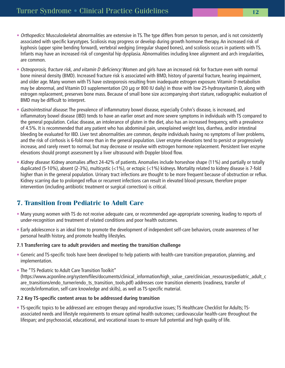- Orthopedics: Musculoskeletal abnormalities are extensive in TS. The type differs from person to person, and is not consistently associated with specific karyotypes. Scoliosis may progress or develop during growth hormone therapy. An increased risk of kyphosis (upper spine bending forward), vertebral wedging (irregular shaped bones), and scoliosis occurs in patients with TS. Infants may have an increased risk of congenital hip dysplasia. Abnormalities including knee alignment and arch irregularities, are common.
- Osteoporosis, fracture risk, and vitamin D deficiency: Women and girls have an increased risk for fracture even with normal bone mineral density (BMD). Increased fracture risk is associated with BMD, history of parental fracture, hearing impairment, and older age. Many women with TS have osteoporosis resulting from inadequate estrogen exposure. Vitamin D metabolism may be abnormal, and Vitamin D3 supplementation (20 μg or 800 IU daily) in those with low 25-hydroxyvitamin D, along with estrogen replacement, preserves bone mass. Because of small bone size accompanying short stature, radiographic evaluation of BMD may be difficult to interpret.
- Gastrointestinal disease: The prevalence of inflammatory bowel disease, especially Crohn's disease, is increased, and inflammatory bowel disease (IBD) tends to have an earlier onset and more severe symptoms in individuals with TS compared to the general population. Celiac disease, an intolerance of gluten in the diet, also has an increased frequency, with a prevalence of 4.5%. It is recommended that any patient who has abdominal pain, unexplained weight loss, diarrhea, and/or intestinal bleeding be evaluated for IBD. Liver test abnormalities are common, despite individuals having no symptoms of liver problems, and the risk of cirrhosis is 6-fold more than in the general population. Liver enzyme elevations tend to persist or progressively increase, and rarely revert to normal, but may decrease or resolve with estrogen hormone replacement. Persistent liver enzyme elevations should prompt assessment by a liver ultrasound with Doppler blood flow.
- Kidney disease: Kidney anomalies affect 24-42% of patients. Anomalies include horseshoe shape (11%) and partially or totally duplicated (5-10%), absent (2-3%), multicystic (<1%), or ectopic (<1%) kidneys. Mortality related to kidney disease is 7-fold higher than in the general population. Urinary tract infections are thought to be more frequent because of obstruction or reflux. Kidney scarring due to prolonged reflux or recurrent infections can result in elevated blood pressure, therefore proper intervention (including antibiotic treatment or surgical correction) is critical.

# **7. Transition from Pediatric to Adult Care**

- Many young women with TS do not receive adequate care, or recommended age-appropriate screening, leading to reports of under-recognition and treatment of related conditions and poor health outcomes.
- Early adolescence is an ideal time to promote the development of independent self-care behaviors, create awareness of her personal health history, and promote healthy lifestyles.

# **7.1 Transferring care to adult providers and meeting the transition challenge**

- Generic and TS-specific tools have been developed to help patients with health-care transition preparation, planning, and implementation.
- The "TS Pediatric to Adult Care Transition Toolkit" (https://www.acponline.org/system/files/documents/clinical\_information/high\_value\_care/clinician\_resources/pediatric\_adult\_c are transitions/endo turner/endo ts transition tools.pdf) addresses core transition elements (readiness, transfer of records/information, self-care knowledge and skills), as well as TS-specific material.

# **7.2 Key TS-specific content areas to be addressed during transition**

• TS-specific topics to be addressed are: estrogen therapy and reproductive issues; TS Healthcare Checklist for Adults; TSassociated needs and lifestyle requirements to ensure optimal health outcomes; cardiovascular health-care throughout the lifespan; and psychosocial, educational, and vocational issues to ensure full potential and high quality of life.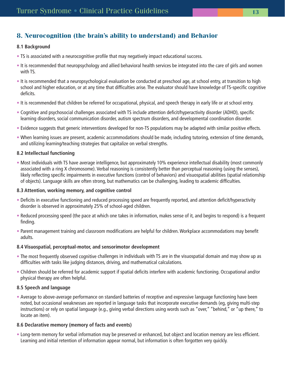# **8. Neurocognition (the brain's ability to understand) and Behavior**

### **8.1 Background**

- TS is associated with a neurocognitive profile that may negatively impact educational success.
- It is recommended that neuropsychology and allied behavioral health services be integrated into the care of girls and women with TS.
- It is recommended that a neuropsychological evaluation be conducted at preschool age, at school entry, at transition to high school and higher education, or at any time that difficulties arise. The evaluator should have knowledge of TS-specific cognitive deficits.
- It is recommended that children be referred for occupational, physical, and speech therapy in early life or at school entry.
- Cognitive and psychosocial challenges associated with TS include attention deficit/hyperactivity disorder (ADHD), specific learning disorders, social communication disorder, autism spectrum disorders, and developmental coordination disorder.
- Evidence suggests that generic interventions developed for non-TS populations may be adapted with similar positive effects.
- When learning issues are present, academic accommodations should be made, including tutoring, extension of time demands, and utilizing learning/teaching strategies that capitalize on verbal strengths.

## **8.2 Intellectual functioning**

• Most individuals with TS have average intelligence, but approximately 10% experience intellectual disability (most commonly associated with a ring X chromosome). Verbal reasoning is consistently better than perceptual reasoning (using the senses), likely reflecting specific impairments in executive functions (control of behaviors) and visuospatial abilities (spatial relationship of objects). Language skills are often strong, but mathematics can be challenging, leading to academic difficulties.

### **8.3 Attention, working memory, and cognitive control**

- Deficits in executive functioning and reduced processing speed are frequently reported, and attention deficit/hyperactivity disorder is observed in approximately 25% of school-aged children.
- Reduced processing speed (the pace at which one takes in information, makes sense of it, and begins to respond) is a frequent finding.
- Parent management training and classroom modifications are helpful for children. Workplace accommodations may benefit adults.

### **8.4 Visuospatial, perceptual-motor, and sensorimotor development**

- The most frequently observed cognitive challenges in individuals with TS are in the visuospatial domain and may show up as difficulties with tasks like judging distances, driving, and mathematical calculations.
- Children should be referred for academic support if spatial deficits interfere with academic functioning. Occupational and/or physical therapy are often helpful.

### **8.5 Speech and language**

• Average to above-average performance on standard batteries of receptive and expressive language functioning have been noted, but occasional weaknesses are reported in language tasks that incorporate executive demands (eg, giving multi-step instructions) or rely on spatial language (e.g., giving verbal directions using words such as "over," "behind," or "up there," to locate an item).

### **8.6 Declarative memory (memory of facts and events)**

• Long-term memory for verbal information may be preserved or enhanced, but object and location memory are less efficient. Learning and initial retention of information appear normal, but information is often forgotten very quickly.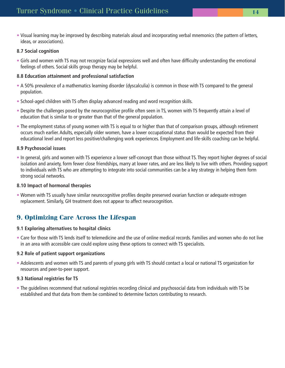• Visual learning may be improved by describing materials aloud and incorporating verbal mnemonics (the pattern of letters, ideas, or associations).

## **8.7 Social cognition**

• Girls and women with TS may not recognize facial expressions well and often have difficulty understanding the emotional feelings of others. Social skills group therapy may be helpful.

# **8.8 Education attainment and professional satisfaction**

- A 50% prevalence of a mathematics learning disorder (dyscalculia) is common in those with TS compared to the general population.
- School-aged children with TS often display advanced reading and word recognition skills.
- Despite the challenges posed by the neurocognitive profile often seen in TS, women with TS frequently attain a level of education that is similar to or greater than that of the general population.
- The employment status of young women with TS is equal to or higher than that of comparison groups, although retirement occurs much earlier. Adults, especially older women, have a lower occupational status than would be expected from their educational level and report less positive/challenging work experiences. Employment and life-skills coaching can be helpful.

## **8.9 Psychosocial issues**

• In general, girls and women with TS experience a lower self-concept than those without TS. They report higher degrees of social isolation and anxiety, form fewer close friendships, marry at lower rates, and are less likely to live with others. Providing support to individuals with TS who are attempting to integrate into social communities can be a key strategy in helping them form strong social networks.

### **8.10 Impact of hormonal therapies**

• Women with TS usually have similar neurocognitive profiles despite preserved ovarian function or adequate estrogen replacement. Similarly, GH treatment does not appear to affect neurocognition.

# **9. Optimizing Care Across the Lifespan**

# **9.1 Exploring alternatives to hospital clinics**

• Care for those with TS lends itself to telemedicine and the use of online medical records. Families and women who do not live in an area with accessible care could explore using these options to connect with TS specialists.

# **9.2 Role of patient support organizations**

• Adolescents and women with TS and parents of young girls with TS should contact a local or national TS organization for resources and peer-to-peer support.

# **9.3 National registries for TS**

• The guidelines recommend that national registries recording clinical and psychosocial data from individuals with TS be established and that data from them be combined to determine factors contributing to research.